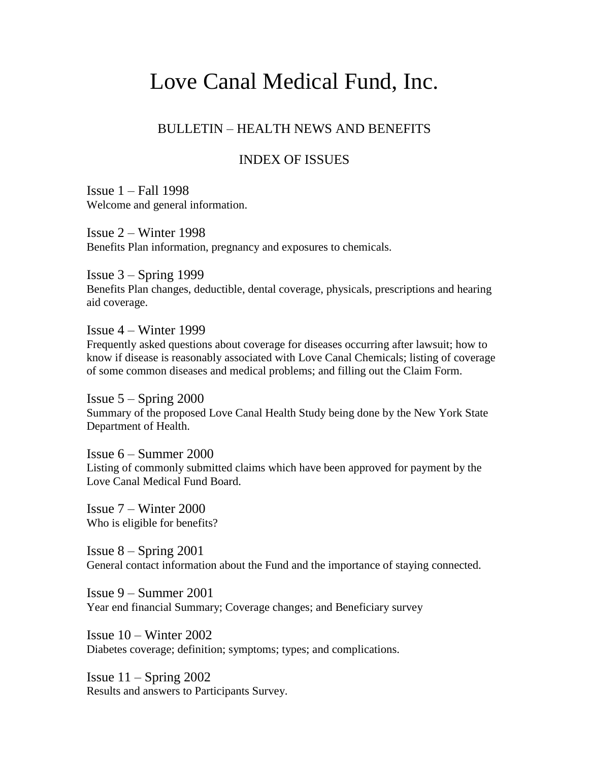# Love Canal Medical Fund, Inc.

# BULLETIN – HEALTH NEWS AND BENEFITS

# INDEX OF ISSUES

Issue 1 – Fall 1998 Welcome and general information.

Issue  $2 -$  Winter 1998 Benefits Plan information, pregnancy and exposures to chemicals.

Issue  $3 -$  Spring 1999 Benefits Plan changes, deductible, dental coverage, physicals, prescriptions and hearing aid coverage.

Issue 4 – Winter 1999 Frequently asked questions about coverage for diseases occurring after lawsuit; how to know if disease is reasonably associated with Love Canal Chemicals; listing of coverage of some common diseases and medical problems; and filling out the Claim Form.

Issue  $5 -$  Spring 2000 Summary of the proposed Love Canal Health Study being done by the New York State Department of Health.

Issue 6 – Summer 2000 Listing of commonly submitted claims which have been approved for payment by the Love Canal Medical Fund Board.

Issue 7 – Winter 2000 Who is eligible for benefits?

Issue  $8 -$  Spring 2001 General contact information about the Fund and the importance of staying connected.

Issue 9 – Summer 2001 Year end financial Summary; Coverage changes; and Beneficiary survey

Issue  $10 -$  Winter 2002 Diabetes coverage; definition; symptoms; types; and complications.

Issue  $11 -$  Spring 2002 Results and answers to Participants Survey.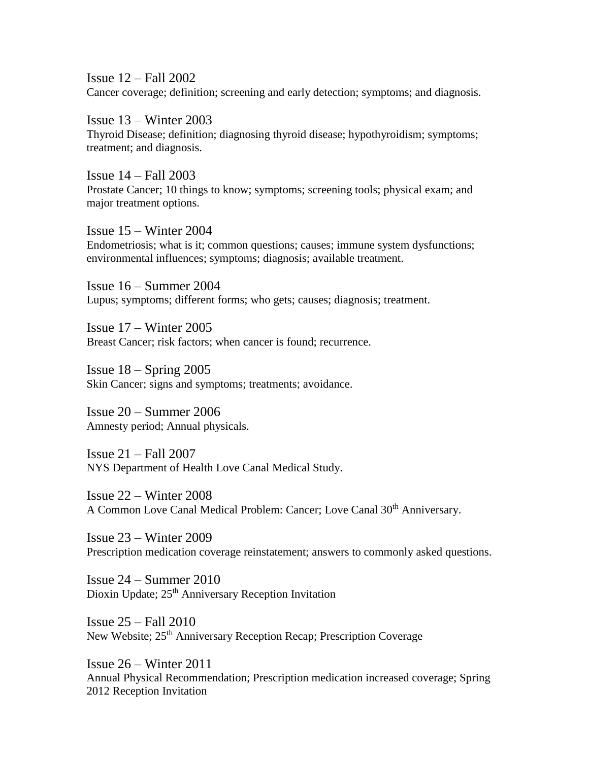Issue 12 – Fall 2002 Cancer coverage; definition; screening and early detection; symptoms; and diagnosis.

Issue 13 – Winter 2003 Thyroid Disease; definition; diagnosing thyroid disease; hypothyroidism; symptoms; treatment; and diagnosis.

Issue 14 – Fall 2003 Prostate Cancer; 10 things to know; symptoms; screening tools; physical exam; and major treatment options.

Issue 15 – Winter 2004 Endometriosis; what is it; common questions; causes; immune system dysfunctions; environmental influences; symptoms; diagnosis; available treatment.

Issue 16 – Summer 2004 Lupus; symptoms; different forms; who gets; causes; diagnosis; treatment.

Issue 17 – Winter 2005 Breast Cancer; risk factors; when cancer is found; recurrence.

Issue  $18 -$  Spring  $2005$ Skin Cancer; signs and symptoms; treatments; avoidance.

Issue 20 – Summer 2006 Amnesty period; Annual physicals.

Issue 21 – Fall 2007 NYS Department of Health Love Canal Medical Study.

Issue 22 – Winter 2008 A Common Love Canal Medical Problem: Cancer; Love Canal 30<sup>th</sup> Anniversary.

Issue 23 – Winter 2009 Prescription medication coverage reinstatement; answers to commonly asked questions.

Issue 24 – Summer 2010 Dioxin Update; 25<sup>th</sup> Anniversary Reception Invitation

Issue 25 – Fall 2010 New Website; 25<sup>th</sup> Anniversary Reception Recap; Prescription Coverage

Issue 26 – Winter 2011 Annual Physical Recommendation; Prescription medication increased coverage; Spring 2012 Reception Invitation